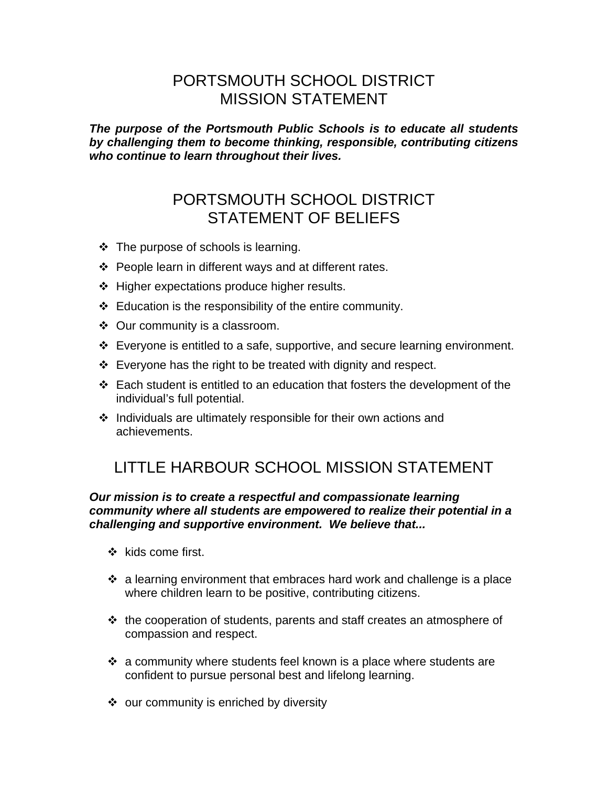### PORTSMOUTH SCHOOL DISTRICT MISSION STATEMENT

*The purpose of the Portsmouth Public Schools is to educate all students by challenging them to become thinking, responsible, contributing citizens who continue to learn throughout their lives.* 

## PORTSMOUTH SCHOOL DISTRICT STATEMENT OF BELIEFS

- $\cdot \cdot$  The purpose of schools is learning.
- ❖ People learn in different ways and at different rates.
- $\div$  Higher expectations produce higher results.
- $\div$  Education is the responsibility of the entire community.
- ❖ Our community is a classroom.
- Everyone is entitled to a safe, supportive, and secure learning environment.
- $\div$  Everyone has the right to be treated with dignity and respect.
- $\div$  Each student is entitled to an education that fosters the development of the individual's full potential.
- Individuals are ultimately responsible for their own actions and achievements.

# LITTLE HARBOUR SCHOOL MISSION STATEMENT

#### *Our mission is to create a respectful and compassionate learning community where all students are empowered to realize their potential in a challenging and supportive environment. We believe that...*

- $\div$  kids come first.
- $\cdot$  a learning environment that embraces hard work and challenge is a place where children learn to be positive, contributing citizens.
- the cooperation of students, parents and staff creates an atmosphere of compassion and respect.
- $\cdot$  a community where students feel known is a place where students are confident to pursue personal best and lifelong learning.
- ❖ our community is enriched by diversity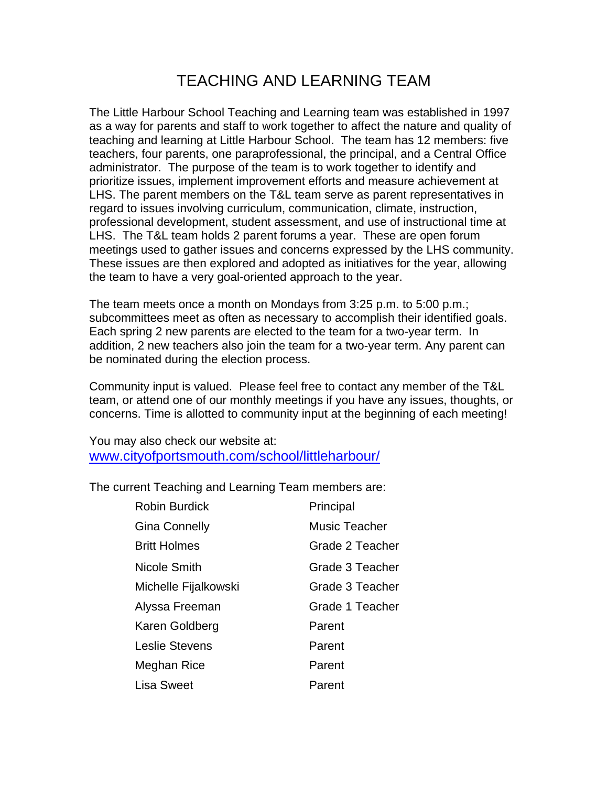## TEACHING AND LEARNING TEAM

The Little Harbour School Teaching and Learning team was established in 1997 as a way for parents and staff to work together to affect the nature and quality of teaching and learning at Little Harbour School. The team has 12 members: five teachers, four parents, one paraprofessional, the principal, and a Central Office administrator. The purpose of the team is to work together to identify and prioritize issues, implement improvement efforts and measure achievement at LHS. The parent members on the T&L team serve as parent representatives in regard to issues involving curriculum, communication, climate, instruction, professional development, student assessment, and use of instructional time at LHS. The T&L team holds 2 parent forums a year. These are open forum meetings used to gather issues and concerns expressed by the LHS community. These issues are then explored and adopted as initiatives for the year, allowing the team to have a very goal-oriented approach to the year.

The team meets once a month on Mondays from 3:25 p.m. to 5:00 p.m.; subcommittees meet as often as necessary to accomplish their identified goals. Each spring 2 new parents are elected to the team for a two-year term. In addition, 2 new teachers also join the team for a two-year term. Any parent can be nominated during the election process.

Community input is valued. Please feel free to contact any member of the T&L team, or attend one of our monthly meetings if you have any issues, thoughts, or concerns. Time is allotted to community input at the beginning of each meeting!

You may also check our website at: www.cityofportsmouth.com/school/littleharbour/

The current Teaching and Learning Team members are:

| <b>Robin Burdick</b>  | Principal       |
|-----------------------|-----------------|
| Gina Connelly         | Music Teacher   |
| <b>Britt Holmes</b>   | Grade 2 Teacher |
| Nicole Smith          | Grade 3 Teacher |
| Michelle Fijalkowski  | Grade 3 Teacher |
| Alyssa Freeman        | Grade 1 Teacher |
| Karen Goldberg        | Parent          |
| <b>Leslie Stevens</b> | Parent          |
| Meghan Rice           | Parent          |
| Lisa Sweet            | Parent          |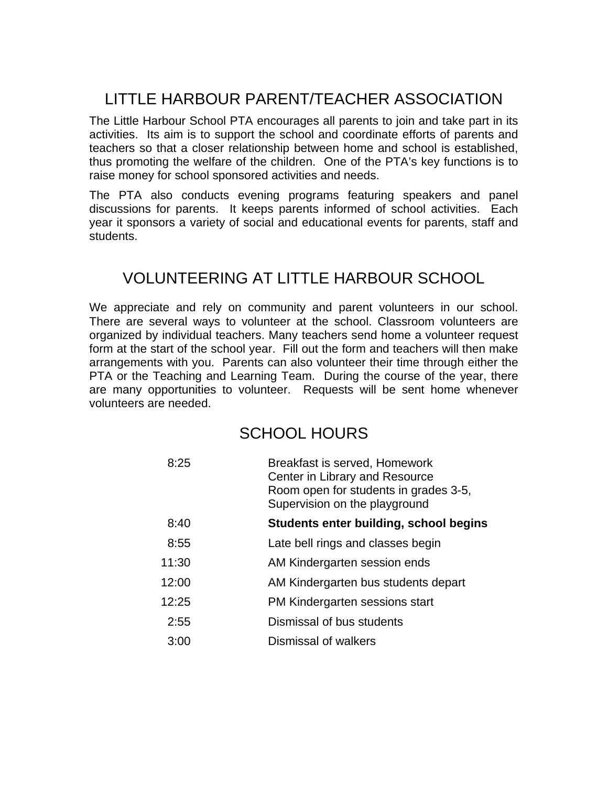# LITTLE HARBOUR PARENT/TEACHER ASSOCIATION

The Little Harbour School PTA encourages all parents to join and take part in its activities. Its aim is to support the school and coordinate efforts of parents and teachers so that a closer relationship between home and school is established, thus promoting the welfare of the children. One of the PTA's key functions is to raise money for school sponsored activities and needs.

The PTA also conducts evening programs featuring speakers and panel discussions for parents. It keeps parents informed of school activities. Each year it sponsors a variety of social and educational events for parents, staff and students.

### VOLUNTEERING AT LITTLE HARBOUR SCHOOL

We appreciate and rely on community and parent volunteers in our school. There are several ways to volunteer at the school. Classroom volunteers are organized by individual teachers. Many teachers send home a volunteer request form at the start of the school year. Fill out the form and teachers will then make arrangements with you. Parents can also volunteer their time through either the PTA or the Teaching and Learning Team. During the course of the year, there are many opportunities to volunteer. Requests will be sent home whenever volunteers are needed.

### SCHOOL HOURS

| 8:25  | Breakfast is served, Homework<br>Center in Library and Resource<br>Room open for students in grades 3-5,<br>Supervision on the playground |
|-------|-------------------------------------------------------------------------------------------------------------------------------------------|
| 8:40  | Students enter building, school begins                                                                                                    |
| 8:55  | Late bell rings and classes begin                                                                                                         |
| 11:30 | AM Kindergarten session ends                                                                                                              |
| 12:00 | AM Kindergarten bus students depart                                                                                                       |
| 12:25 | PM Kindergarten sessions start                                                                                                            |
| 2:55  | Dismissal of bus students                                                                                                                 |
| 3:00  | Dismissal of walkers                                                                                                                      |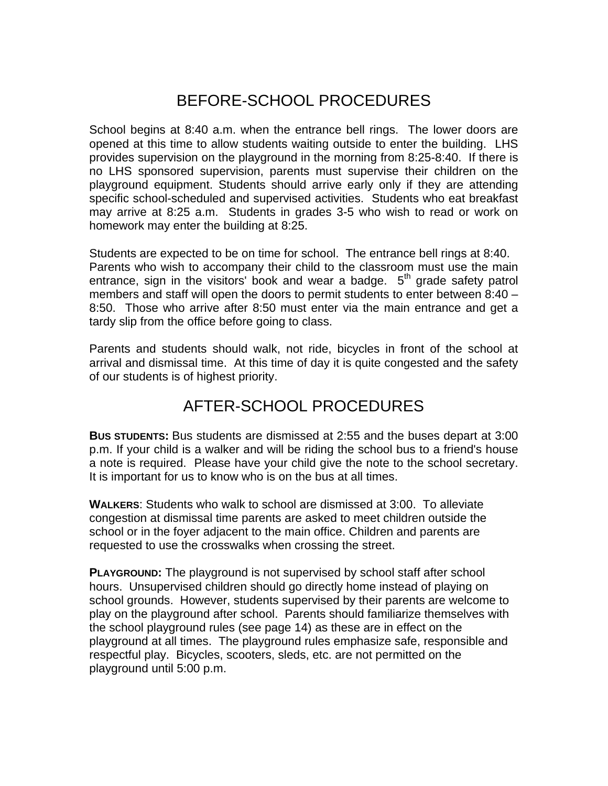### BEFORE-SCHOOL PROCEDURES

School begins at 8:40 a.m. when the entrance bell rings. The lower doors are opened at this time to allow students waiting outside to enter the building. LHS provides supervision on the playground in the morning from 8:25-8:40. If there is no LHS sponsored supervision, parents must supervise their children on the playground equipment. Students should arrive early only if they are attending specific school-scheduled and supervised activities. Students who eat breakfast may arrive at 8:25 a.m. Students in grades 3-5 who wish to read or work on homework may enter the building at 8:25.

Students are expected to be on time for school. The entrance bell rings at 8:40. Parents who wish to accompany their child to the classroom must use the main entrance, sign in the visitors' book and wear a badge.  $5<sup>th</sup>$  grade safety patrol members and staff will open the doors to permit students to enter between 8:40 – 8:50. Those who arrive after 8:50 must enter via the main entrance and get a tardy slip from the office before going to class.

Parents and students should walk, not ride, bicycles in front of the school at arrival and dismissal time. At this time of day it is quite congested and the safety of our students is of highest priority.

### AFTER-SCHOOL PROCEDURES

**BUS STUDENTS:** Bus students are dismissed at 2:55 and the buses depart at 3:00 p.m. If your child is a walker and will be riding the school bus to a friend's house a note is required. Please have your child give the note to the school secretary. It is important for us to know who is on the bus at all times.

**WALKERS**: Students who walk to school are dismissed at 3:00. To alleviate congestion at dismissal time parents are asked to meet children outside the school or in the foyer adjacent to the main office. Children and parents are requested to use the crosswalks when crossing the street.

**PLAYGROUND:** The playground is not supervised by school staff after school hours. Unsupervised children should go directly home instead of playing on school grounds. However, students supervised by their parents are welcome to play on the playground after school. Parents should familiarize themselves with the school playground rules (see page 14) as these are in effect on the playground at all times. The playground rules emphasize safe, responsible and respectful play. Bicycles, scooters, sleds, etc. are not permitted on the playground until 5:00 p.m.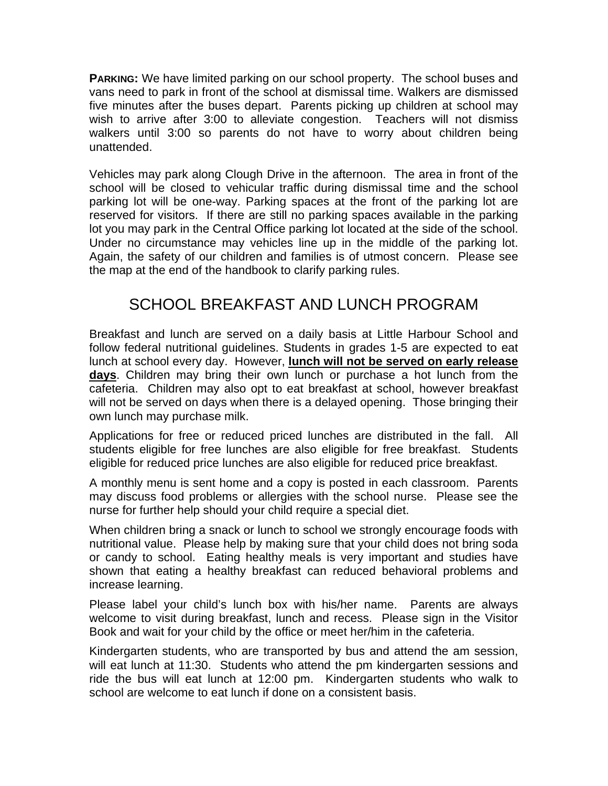**PARKING:** We have limited parking on our school property. The school buses and vans need to park in front of the school at dismissal time. Walkers are dismissed five minutes after the buses depart. Parents picking up children at school may wish to arrive after 3:00 to alleviate congestion. Teachers will not dismiss walkers until 3:00 so parents do not have to worry about children being unattended.

Vehicles may park along Clough Drive in the afternoon. The area in front of the school will be closed to vehicular traffic during dismissal time and the school parking lot will be one-way. Parking spaces at the front of the parking lot are reserved for visitors. If there are still no parking spaces available in the parking lot you may park in the Central Office parking lot located at the side of the school. Under no circumstance may vehicles line up in the middle of the parking lot. Again, the safety of our children and families is of utmost concern. Please see the map at the end of the handbook to clarify parking rules.

## SCHOOL BREAKFAST AND LUNCH PROGRAM

Breakfast and lunch are served on a daily basis at Little Harbour School and follow federal nutritional guidelines. Students in grades 1-5 are expected to eat lunch at school every day. However, **lunch will not be served on early release days**. Children may bring their own lunch or purchase a hot lunch from the cafeteria. Children may also opt to eat breakfast at school, however breakfast will not be served on days when there is a delayed opening. Those bringing their own lunch may purchase milk.

Applications for free or reduced priced lunches are distributed in the fall. All students eligible for free lunches are also eligible for free breakfast. Students eligible for reduced price lunches are also eligible for reduced price breakfast.

A monthly menu is sent home and a copy is posted in each classroom. Parents may discuss food problems or allergies with the school nurse. Please see the nurse for further help should your child require a special diet.

When children bring a snack or lunch to school we strongly encourage foods with nutritional value. Please help by making sure that your child does not bring soda or candy to school. Eating healthy meals is very important and studies have shown that eating a healthy breakfast can reduced behavioral problems and increase learning.

Please label your child's lunch box with his/her name. Parents are always welcome to visit during breakfast, lunch and recess. Please sign in the Visitor Book and wait for your child by the office or meet her/him in the cafeteria.

Kindergarten students, who are transported by bus and attend the am session, will eat lunch at 11:30. Students who attend the pm kindergarten sessions and ride the bus will eat lunch at 12:00 pm. Kindergarten students who walk to school are welcome to eat lunch if done on a consistent basis.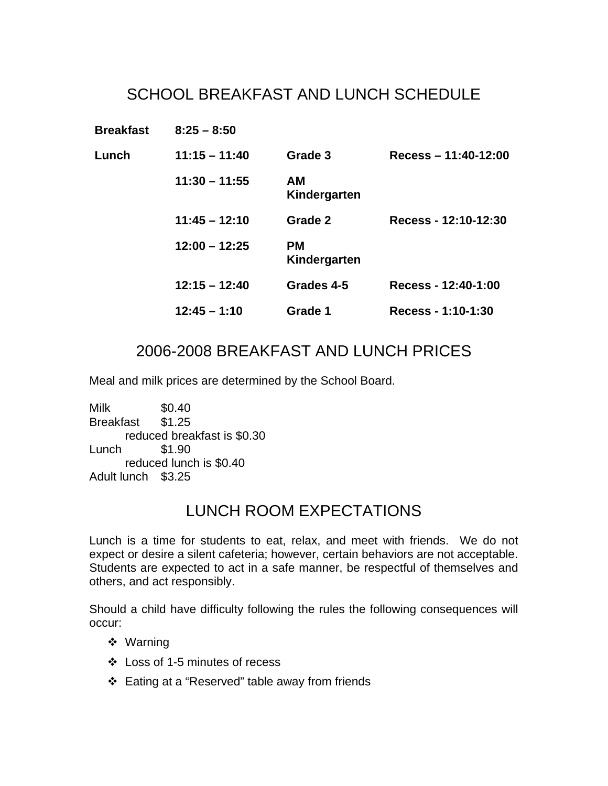# SCHOOL BREAKFAST AND LUNCH SCHEDULE

| <b>Breakfast</b> | $8:25 - 8:50$   |                           |                       |
|------------------|-----------------|---------------------------|-----------------------|
| Lunch            | $11:15 - 11:40$ | Grade 3                   | Recess $-11:40-12:00$ |
|                  | $11:30 - 11:55$ | АM<br>Kindergarten        |                       |
|                  | $11:45 - 12:10$ | Grade 2                   | Recess - 12:10-12:30  |
|                  | $12:00 - 12:25$ | <b>PM</b><br>Kindergarten |                       |
|                  | $12:15 - 12:40$ | Grades 4-5                | Recess - 12:40-1:00   |
|                  | $12:45 - 1:10$  | Grade 1                   | Recess - 1:10-1:30    |

### 2006-2008 BREAKFAST AND LUNCH PRICES

Meal and milk prices are determined by the School Board.

Milk \$0.40 Breakfast \$1.25 reduced breakfast is \$0.30 Lunch \$1.90 reduced lunch is \$0.40 Adult lunch \$3.25

### LUNCH ROOM EXPECTATIONS

Lunch is a time for students to eat, relax, and meet with friends. We do not expect or desire a silent cafeteria; however, certain behaviors are not acceptable. Students are expected to act in a safe manner, be respectful of themselves and others, and act responsibly.

Should a child have difficulty following the rules the following consequences will occur:

- Warning
- Loss of 1-5 minutes of recess
- Eating at a "Reserved" table away from friends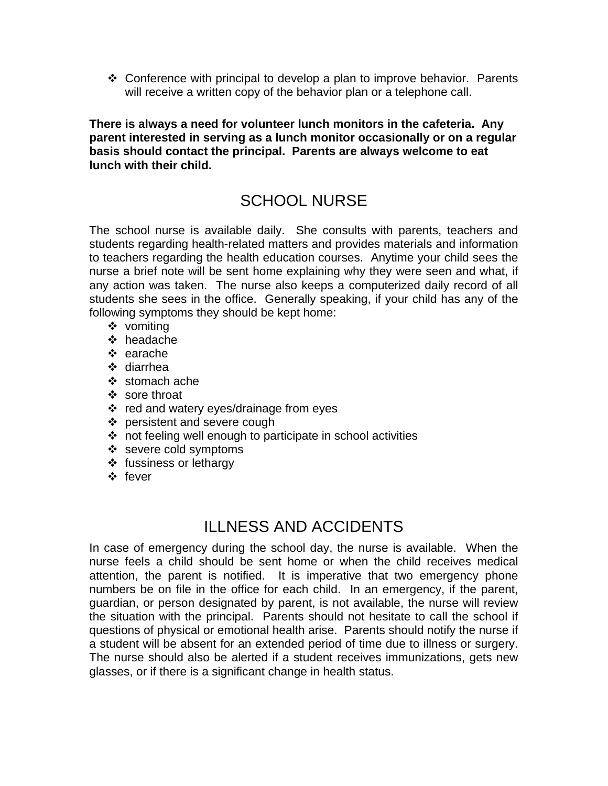$\cdot$  Conference with principal to develop a plan to improve behavior. Parents will receive a written copy of the behavior plan or a telephone call.

**There is always a need for volunteer lunch monitors in the cafeteria. Any parent interested in serving as a lunch monitor occasionally or on a regular basis should contact the principal. Parents are always welcome to eat lunch with their child.** 

# SCHOOL NURSE

The school nurse is available daily. She consults with parents, teachers and students regarding health-related matters and provides materials and information to teachers regarding the health education courses. Anytime your child sees the nurse a brief note will be sent home explaining why they were seen and what, if any action was taken. The nurse also keeps a computerized daily record of all students she sees in the office. Generally speaking, if your child has any of the following symptoms they should be kept home:

- ❖ vomiting
- ❖ headache
- $\div$  earache
- diarrhea
- $\div$  stomach ache
- ❖ sore throat
- ❖ red and watery eyes/drainage from eyes
- ❖ persistent and severe cough
- not feeling well enough to participate in school activities
- ❖ severe cold symptoms
- ❖ fussiness or lethargy
- ❖ fever

#### ILLNESS AND ACCIDENTS

In case of emergency during the school day, the nurse is available. When the nurse feels a child should be sent home or when the child receives medical attention, the parent is notified. It is imperative that two emergency phone numbers be on file in the office for each child. In an emergency, if the parent, guardian, or person designated by parent, is not available, the nurse will review the situation with the principal. Parents should not hesitate to call the school if questions of physical or emotional health arise. Parents should notify the nurse if a student will be absent for an extended period of time due to illness or surgery. The nurse should also be alerted if a student receives immunizations, gets new glasses, or if there is a significant change in health status.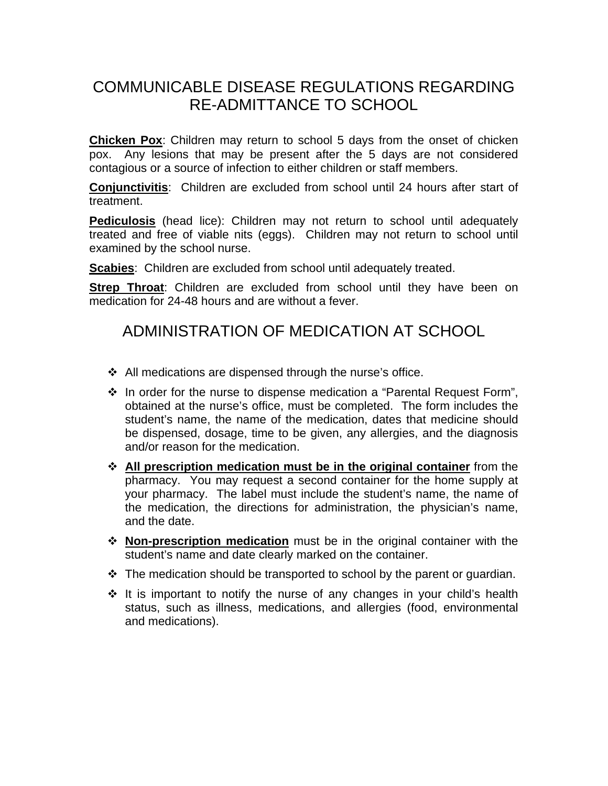## COMMUNICABLE DISEASE REGULATIONS REGARDING RE-ADMITTANCE TO SCHOOL

**Chicken Pox**: Children may return to school 5 days from the onset of chicken pox. Any lesions that may be present after the 5 days are not considered contagious or a source of infection to either children or staff members.

**Conjunctivitis**: Children are excluded from school until 24 hours after start of treatment.

**Pediculosis** (head lice): Children may not return to school until adequately treated and free of viable nits (eggs). Children may not return to school until examined by the school nurse.

**Scabies**: Children are excluded from school until adequately treated.

**Strep Throat:** Children are excluded from school until they have been on medication for 24-48 hours and are without a fever.

### ADMINISTRATION OF MEDICATION AT SCHOOL

- $\div$  All medications are dispensed through the nurse's office.
- $\cdot$  In order for the nurse to dispense medication a "Parental Request Form", obtained at the nurse's office, must be completed. The form includes the student's name, the name of the medication, dates that medicine should be dispensed, dosage, time to be given, any allergies, and the diagnosis and/or reason for the medication.
- **All prescription medication must be in the original container** from the pharmacy. You may request a second container for the home supply at your pharmacy. The label must include the student's name, the name of the medication, the directions for administration, the physician's name, and the date.
- **Non-prescription medication** must be in the original container with the student's name and date clearly marked on the container.
- $\cdot \cdot$  The medication should be transported to school by the parent or quardian.
- $\cdot$  It is important to notify the nurse of any changes in your child's health status, such as illness, medications, and allergies (food, environmental and medications).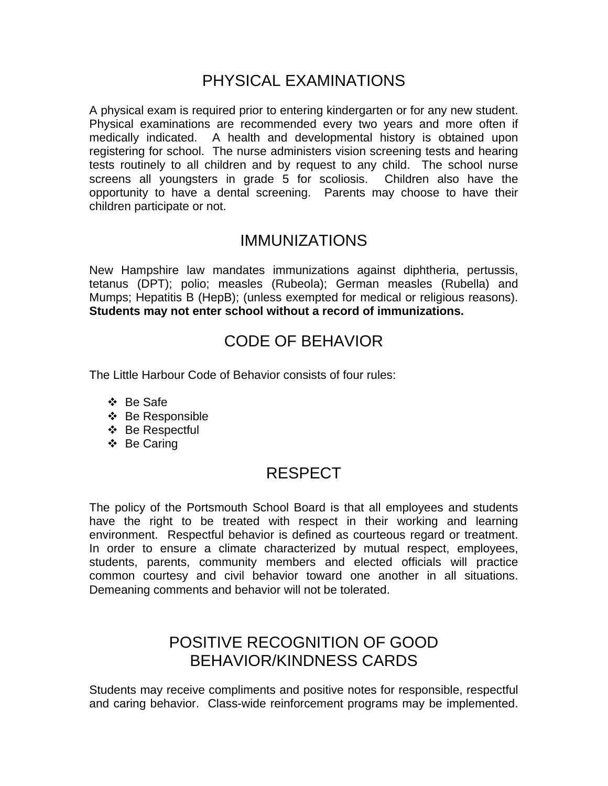### PHYSICAL EXAMINATIONS

A physical exam is required prior to entering kindergarten or for any new student. Physical examinations are recommended every two years and more often if medically indicated. A health and developmental history is obtained upon registering for school. The nurse administers vision screening tests and hearing tests routinely to all children and by request to any child. The school nurse screens all youngsters in grade 5 for scoliosis. Children also have the opportunity to have a dental screening. Parents may choose to have their children participate or not.

#### IMMUNIZATIONS

New Hampshire law mandates immunizations against diphtheria, pertussis, tetanus (DPT); polio; measles (Rubeola); German measles (Rubella) and Mumps; Hepatitis B (HepB); (unless exempted for medical or religious reasons). **Students may not enter school without a record of immunizations.** 

### CODE OF BEHAVIOR

The Little Harbour Code of Behavior consists of four rules:

- Be Safe
- ❖ Be Responsible
- Be Respectful
- ❖ Be Caring

#### RESPECT

The policy of the Portsmouth School Board is that all employees and students have the right to be treated with respect in their working and learning environment. Respectful behavior is defined as courteous regard or treatment. In order to ensure a climate characterized by mutual respect, employees, students, parents, community members and elected officials will practice common courtesy and civil behavior toward one another in all situations. Demeaning comments and behavior will not be tolerated.

### POSITIVE RECOGNITION OF GOOD BEHAVIOR/KINDNESS CARDS

Students may receive compliments and positive notes for responsible, respectful and caring behavior. Class-wide reinforcement programs may be implemented.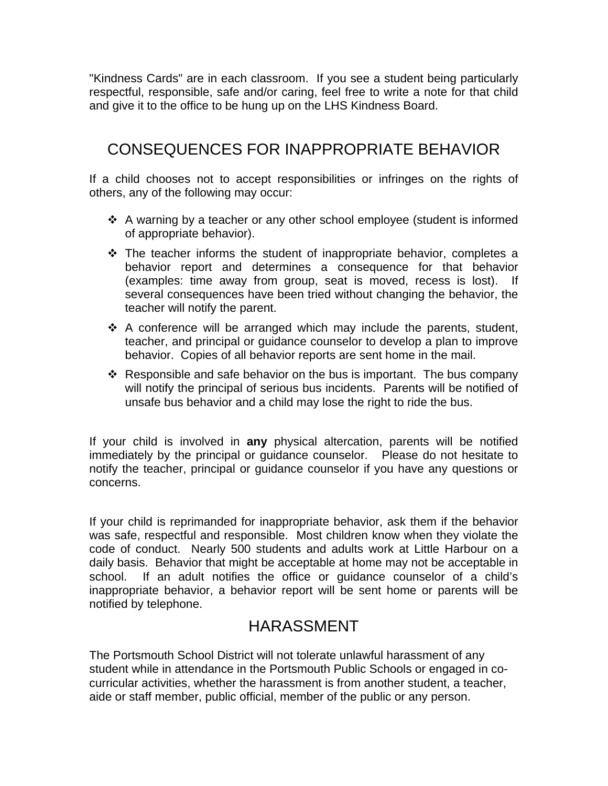"Kindness Cards" are in each classroom. If you see a student being particularly respectful, responsible, safe and/or caring, feel free to write a note for that child and give it to the office to be hung up on the LHS Kindness Board.

## CONSEQUENCES FOR INAPPROPRIATE BEHAVIOR

If a child chooses not to accept responsibilities or infringes on the rights of others, any of the following may occur:

- A warning by a teacher or any other school employee (student is informed of appropriate behavior).
- $\cdot$  The teacher informs the student of inappropriate behavior, completes a behavior report and determines a consequence for that behavior (examples: time away from group, seat is moved, recess is lost). If several consequences have been tried without changing the behavior, the teacher will notify the parent.
- $\cdot$  A conference will be arranged which may include the parents, student, teacher, and principal or guidance counselor to develop a plan to improve behavior. Copies of all behavior reports are sent home in the mail.
- \* Responsible and safe behavior on the bus is important. The bus company will notify the principal of serious bus incidents. Parents will be notified of unsafe bus behavior and a child may lose the right to ride the bus.

If your child is involved in **any** physical altercation, parents will be notified immediately by the principal or guidance counselor. Please do not hesitate to notify the teacher, principal or guidance counselor if you have any questions or concerns.

If your child is reprimanded for inappropriate behavior, ask them if the behavior was safe, respectful and responsible. Most children know when they violate the code of conduct. Nearly 500 students and adults work at Little Harbour on a daily basis. Behavior that might be acceptable at home may not be acceptable in school. If an adult notifies the office or guidance counselor of a child's inappropriate behavior, a behavior report will be sent home or parents will be notified by telephone.

### HARASSMENT

The Portsmouth School District will not tolerate unlawful harassment of any student while in attendance in the Portsmouth Public Schools or engaged in cocurricular activities, whether the harassment is from another student, a teacher, aide or staff member, public official, member of the public or any person.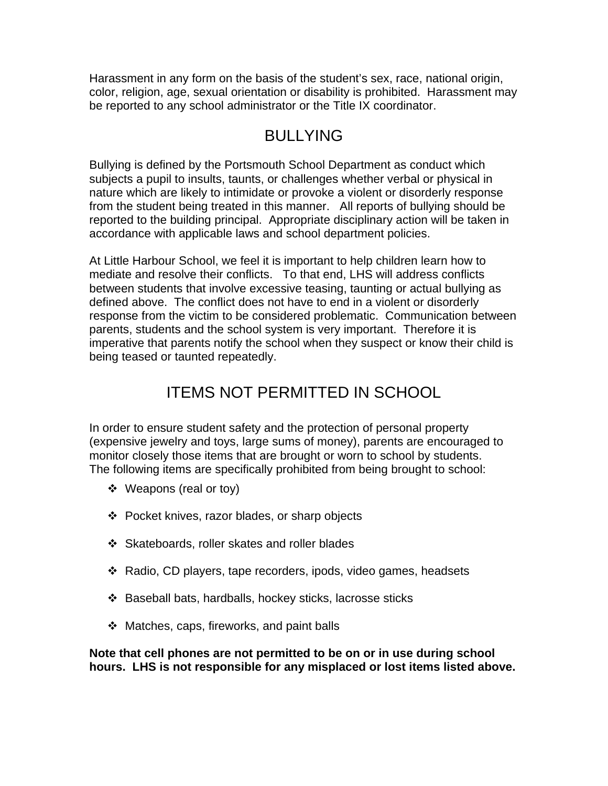Harassment in any form on the basis of the student's sex, race, national origin, color, religion, age, sexual orientation or disability is prohibited. Harassment may be reported to any school administrator or the Title IX coordinator.

# BULLYING

Bullying is defined by the Portsmouth School Department as conduct which subjects a pupil to insults, taunts, or challenges whether verbal or physical in nature which are likely to intimidate or provoke a violent or disorderly response from the student being treated in this manner. All reports of bullying should be reported to the building principal. Appropriate disciplinary action will be taken in accordance with applicable laws and school department policies.

At Little Harbour School, we feel it is important to help children learn how to mediate and resolve their conflicts. To that end, LHS will address conflicts between students that involve excessive teasing, taunting or actual bullying as defined above. The conflict does not have to end in a violent or disorderly response from the victim to be considered problematic. Communication between parents, students and the school system is very important. Therefore it is imperative that parents notify the school when they suspect or know their child is being teased or taunted repeatedly.

# ITEMS NOT PERMITTED IN SCHOOL

In order to ensure student safety and the protection of personal property (expensive jewelry and toys, large sums of money), parents are encouraged to monitor closely those items that are brought or worn to school by students. The following items are specifically prohibited from being brought to school:

- ❖ Weapons (real or toy)
- Pocket knives, razor blades, or sharp objects
- Skateboards, roller skates and roller blades
- Radio, CD players, tape recorders, ipods, video games, headsets
- Baseball bats, hardballs, hockey sticks, lacrosse sticks
- $\div$  Matches, caps, fireworks, and paint balls

**Note that cell phones are not permitted to be on or in use during school hours. LHS is not responsible for any misplaced or lost items listed above.**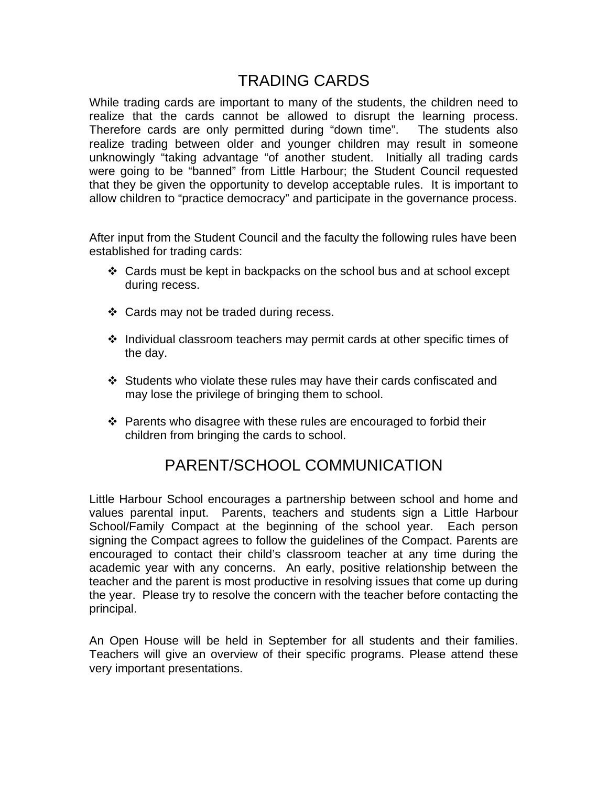#### TRADING CARDS

While trading cards are important to many of the students, the children need to realize that the cards cannot be allowed to disrupt the learning process. Therefore cards are only permitted during "down time". The students also realize trading between older and younger children may result in someone unknowingly "taking advantage "of another student. Initially all trading cards were going to be "banned" from Little Harbour; the Student Council requested that they be given the opportunity to develop acceptable rules. It is important to allow children to "practice democracy" and participate in the governance process.

After input from the Student Council and the faculty the following rules have been established for trading cards:

- $\div$  Cards must be kept in backpacks on the school bus and at school except during recess.
- Cards may not be traded during recess.
- $\div$  Individual classroom teachers may permit cards at other specific times of the day.
- Students who violate these rules may have their cards confiscated and may lose the privilege of bringing them to school.
- $\cdot \cdot$  Parents who disagree with these rules are encouraged to forbid their children from bringing the cards to school.

### PARENT/SCHOOL COMMUNICATION

Little Harbour School encourages a partnership between school and home and values parental input. Parents, teachers and students sign a Little Harbour School/Family Compact at the beginning of the school year. Each person signing the Compact agrees to follow the guidelines of the Compact. Parents are encouraged to contact their child's classroom teacher at any time during the academic year with any concerns. An early, positive relationship between the teacher and the parent is most productive in resolving issues that come up during the year. Please try to resolve the concern with the teacher before contacting the principal.

An Open House will be held in September for all students and their families. Teachers will give an overview of their specific programs. Please attend these very important presentations.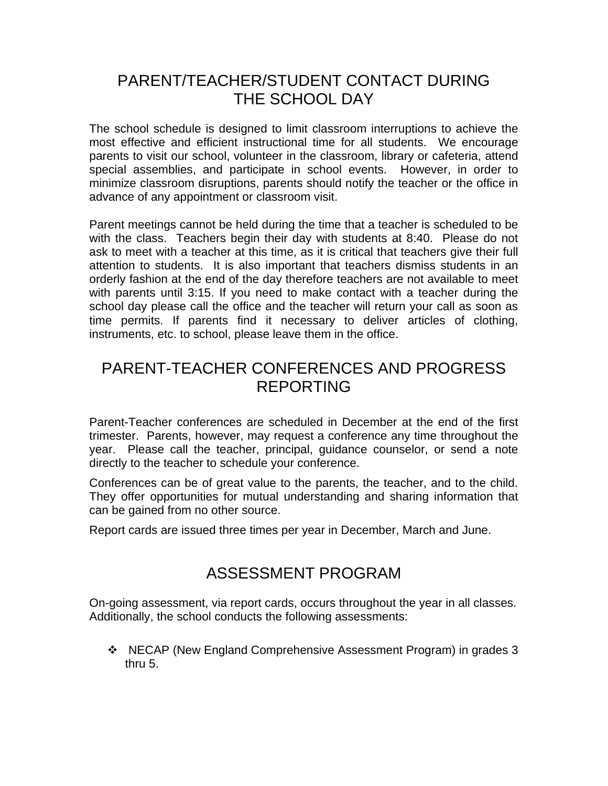### PARENT/TEACHER/STUDENT CONTACT DURING THE SCHOOL DAY

The school schedule is designed to limit classroom interruptions to achieve the most effective and efficient instructional time for all students. We encourage parents to visit our school, volunteer in the classroom, library or cafeteria, attend special assemblies, and participate in school events. However, in order to minimize classroom disruptions, parents should notify the teacher or the office in advance of any appointment or classroom visit.

Parent meetings cannot be held during the time that a teacher is scheduled to be with the class. Teachers begin their day with students at 8:40. Please do not ask to meet with a teacher at this time, as it is critical that teachers give their full attention to students. It is also important that teachers dismiss students in an orderly fashion at the end of the day therefore teachers are not available to meet with parents until 3:15. If you need to make contact with a teacher during the school day please call the office and the teacher will return your call as soon as time permits. If parents find it necessary to deliver articles of clothing, instruments, etc. to school, please leave them in the office.

### PARENT-TEACHER CONFERENCES AND PROGRESS REPORTING

Parent-Teacher conferences are scheduled in December at the end of the first trimester. Parents, however, may request a conference any time throughout the year. Please call the teacher, principal, guidance counselor, or send a note directly to the teacher to schedule your conference.

Conferences can be of great value to the parents, the teacher, and to the child. They offer opportunities for mutual understanding and sharing information that can be gained from no other source.

Report cards are issued three times per year in December, March and June.

### ASSESSMENT PROGRAM

On-going assessment, via report cards, occurs throughout the year in all classes. Additionally, the school conducts the following assessments:

 NECAP (New England Comprehensive Assessment Program) in grades 3 thru 5.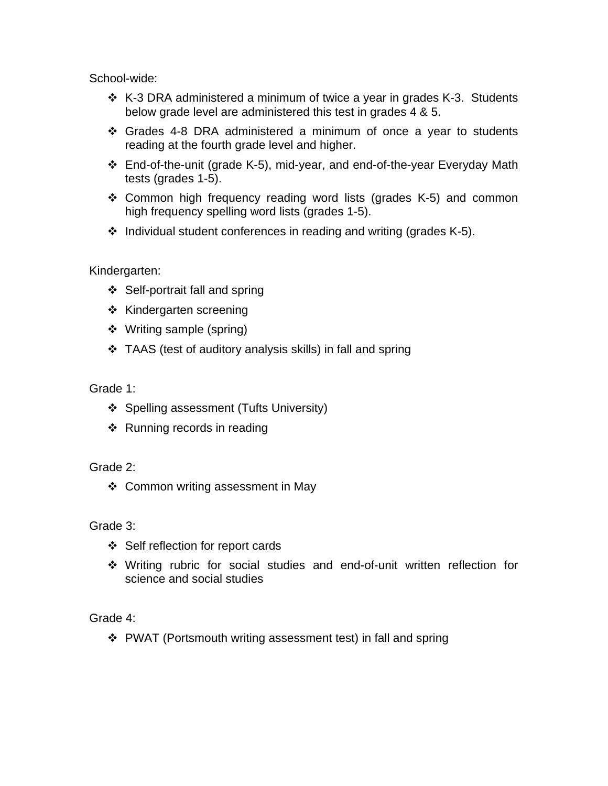School-wide:

- K-3 DRA administered a minimum of twice a year in grades K-3. Students below grade level are administered this test in grades 4 & 5.
- Grades 4-8 DRA administered a minimum of once a year to students reading at the fourth grade level and higher.
- End-of-the-unit (grade K-5), mid-year, and end-of-the-year Everyday Math tests (grades 1-5).
- Common high frequency reading word lists (grades K-5) and common high frequency spelling word lists (grades 1-5).
- $\cdot$  Individual student conferences in reading and writing (grades K-5).

Kindergarten:

- ❖ Self-portrait fall and spring
- ❖ Kindergarten screening
- Writing sample (spring)
- TAAS (test of auditory analysis skills) in fall and spring

Grade 1:

- ❖ Spelling assessment (Tufts University)
- ❖ Running records in reading

Grade 2:

❖ Common writing assessment in May

Grade 3:

- Self reflection for report cards
- Writing rubric for social studies and end-of-unit written reflection for science and social studies

Grade 4:

PWAT (Portsmouth writing assessment test) in fall and spring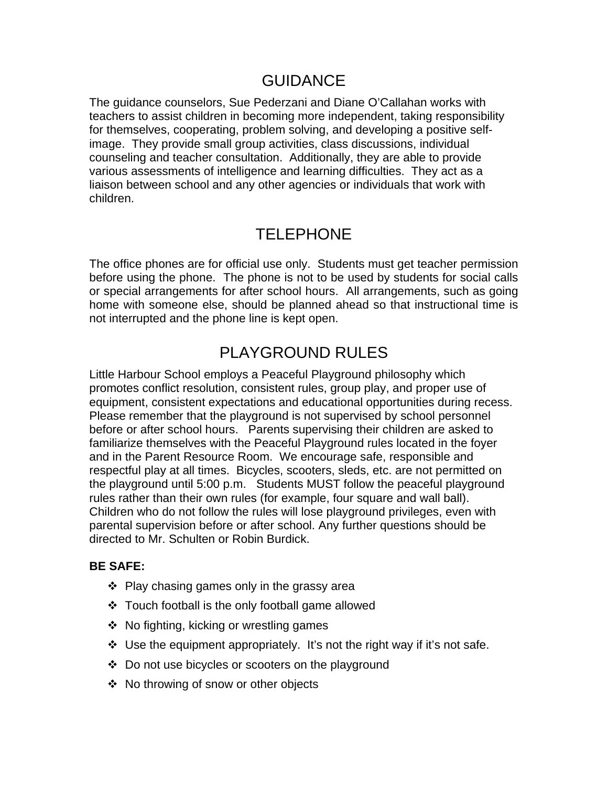### GUIDANCE

The guidance counselors, Sue Pederzani and Diane O'Callahan works with teachers to assist children in becoming more independent, taking responsibility for themselves, cooperating, problem solving, and developing a positive selfimage. They provide small group activities, class discussions, individual counseling and teacher consultation. Additionally, they are able to provide various assessments of intelligence and learning difficulties. They act as a liaison between school and any other agencies or individuals that work with children.

# TELEPHONE

The office phones are for official use only. Students must get teacher permission before using the phone. The phone is not to be used by students for social calls or special arrangements for after school hours. All arrangements, such as going home with someone else, should be planned ahead so that instructional time is not interrupted and the phone line is kept open.

# PLAYGROUND RULES

Little Harbour School employs a Peaceful Playground philosophy which promotes conflict resolution, consistent rules, group play, and proper use of equipment, consistent expectations and educational opportunities during recess. Please remember that the playground is not supervised by school personnel before or after school hours. Parents supervising their children are asked to familiarize themselves with the Peaceful Playground rules located in the foyer and in the Parent Resource Room. We encourage safe, responsible and respectful play at all times. Bicycles, scooters, sleds, etc. are not permitted on the playground until 5:00 p.m. Students MUST follow the peaceful playground rules rather than their own rules (for example, four square and wall ball). Children who do not follow the rules will lose playground privileges, even with parental supervision before or after school. Any further questions should be directed to Mr. Schulten or Robin Burdick.

#### **BE SAFE:**

- $\div$  Play chasing games only in the grassy area
- Touch football is the only football game allowed
- ❖ No fighting, kicking or wrestling games
- $\div$  Use the equipment appropriately. It's not the right way if it's not safe.
- ❖ Do not use bicycles or scooters on the playground
- ❖ No throwing of snow or other objects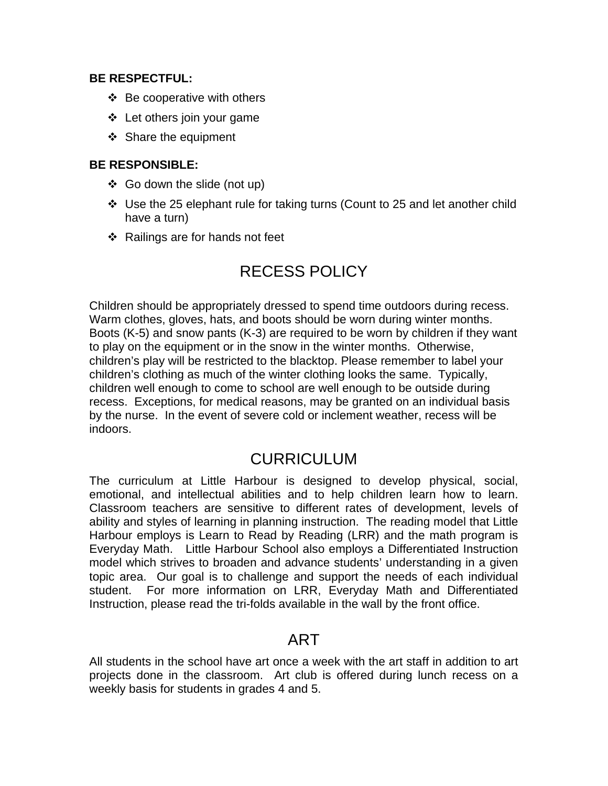#### **BE RESPECTFUL:**

- $\div$  Be cooperative with others
- Let others join your game
- ❖ Share the equipment

#### **BE RESPONSIBLE:**

- $\div$  Go down the slide (not up)
- $\div$  Use the 25 elephant rule for taking turns (Count to 25 and let another child have a turn)
- $\div$  Railings are for hands not feet

# RECESS POLICY

Children should be appropriately dressed to spend time outdoors during recess. Warm clothes, gloves, hats, and boots should be worn during winter months. Boots (K-5) and snow pants (K-3) are required to be worn by children if they want to play on the equipment or in the snow in the winter months. Otherwise, children's play will be restricted to the blacktop. Please remember to label your children's clothing as much of the winter clothing looks the same. Typically, children well enough to come to school are well enough to be outside during recess. Exceptions, for medical reasons, may be granted on an individual basis by the nurse. In the event of severe cold or inclement weather, recess will be indoors.

#### CURRICULUM

The curriculum at Little Harbour is designed to develop physical, social, emotional, and intellectual abilities and to help children learn how to learn. Classroom teachers are sensitive to different rates of development, levels of ability and styles of learning in planning instruction. The reading model that Little Harbour employs is Learn to Read by Reading (LRR) and the math program is Everyday Math. Little Harbour School also employs a Differentiated Instruction model which strives to broaden and advance students' understanding in a given topic area. Our goal is to challenge and support the needs of each individual student. For more information on LRR, Everyday Math and Differentiated Instruction, please read the tri-folds available in the wall by the front office.

#### ART

All students in the school have art once a week with the art staff in addition to art projects done in the classroom. Art club is offered during lunch recess on a weekly basis for students in grades 4 and 5.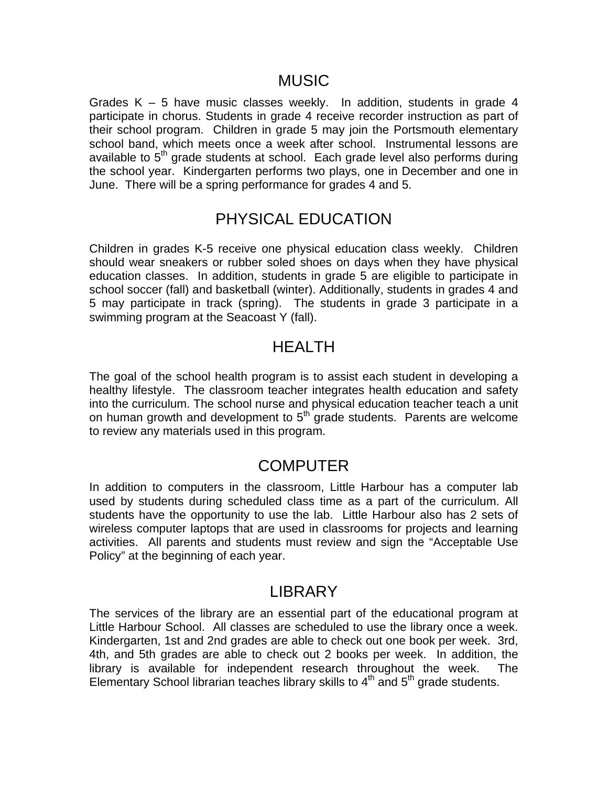#### MUSIC

Grades  $K - 5$  have music classes weekly. In addition, students in grade 4 participate in chorus. Students in grade 4 receive recorder instruction as part of their school program. Children in grade 5 may join the Portsmouth elementary school band, which meets once a week after school. Instrumental lessons are available to  $5<sup>th</sup>$  grade students at school. Each grade level also performs during the school year. Kindergarten performs two plays, one in December and one in June. There will be a spring performance for grades 4 and 5.

#### PHYSICAL EDUCATION

Children in grades K-5 receive one physical education class weekly. Children should wear sneakers or rubber soled shoes on days when they have physical education classes. In addition, students in grade 5 are eligible to participate in school soccer (fall) and basketball (winter). Additionally, students in grades 4 and 5 may participate in track (spring). The students in grade 3 participate in a swimming program at the Seacoast Y (fall).

#### HEALTH

The goal of the school health program is to assist each student in developing a healthy lifestyle. The classroom teacher integrates health education and safety into the curriculum. The school nurse and physical education teacher teach a unit on human growth and development to  $5<sup>th</sup>$  grade students. Parents are welcome to review any materials used in this program.

#### **COMPUTER**

In addition to computers in the classroom, Little Harbour has a computer lab used by students during scheduled class time as a part of the curriculum. All students have the opportunity to use the lab. Little Harbour also has 2 sets of wireless computer laptops that are used in classrooms for projects and learning activities. All parents and students must review and sign the "Acceptable Use Policy" at the beginning of each year.

#### LIBRARY

The services of the library are an essential part of the educational program at Little Harbour School. All classes are scheduled to use the library once a week. Kindergarten, 1st and 2nd grades are able to check out one book per week. 3rd, 4th, and 5th grades are able to check out 2 books per week. In addition, the library is available for independent research throughout the week. The Elementary School librarian teaches library skills to  $4<sup>th</sup>$  and  $5<sup>th</sup>$  grade students.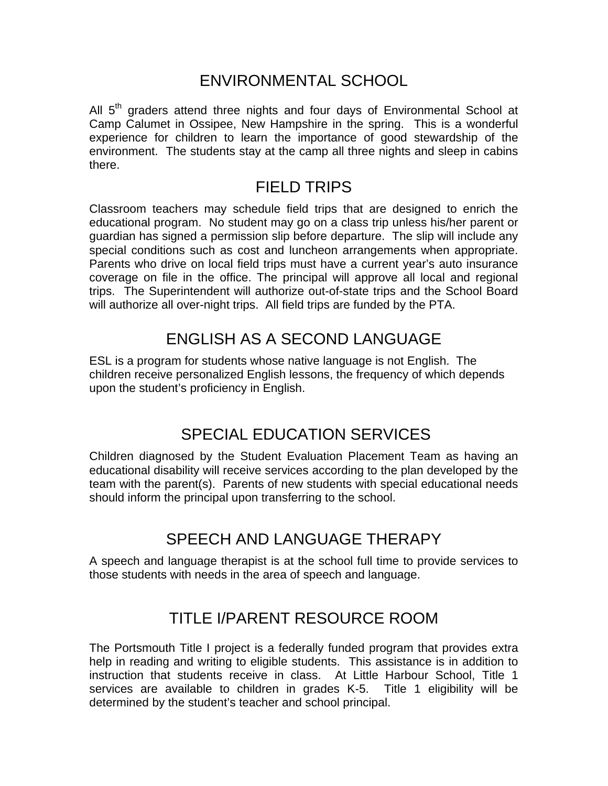## ENVIRONMENTAL SCHOOL

All  $5<sup>th</sup>$  graders attend three nights and four days of Environmental School at Camp Calumet in Ossipee, New Hampshire in the spring. This is a wonderful experience for children to learn the importance of good stewardship of the environment. The students stay at the camp all three nights and sleep in cabins there.

## FIELD TRIPS

Classroom teachers may schedule field trips that are designed to enrich the educational program. No student may go on a class trip unless his/her parent or guardian has signed a permission slip before departure. The slip will include any special conditions such as cost and luncheon arrangements when appropriate. Parents who drive on local field trips must have a current year's auto insurance coverage on file in the office. The principal will approve all local and regional trips. The Superintendent will authorize out-of-state trips and the School Board will authorize all over-night trips. All field trips are funded by the PTA.

# ENGLISH AS A SECOND LANGUAGE

ESL is a program for students whose native language is not English. The children receive personalized English lessons, the frequency of which depends upon the student's proficiency in English.

# SPECIAL EDUCATION SERVICES

Children diagnosed by the Student Evaluation Placement Team as having an educational disability will receive services according to the plan developed by the team with the parent(s). Parents of new students with special educational needs should inform the principal upon transferring to the school.

# SPEECH AND LANGUAGE THERAPY

A speech and language therapist is at the school full time to provide services to those students with needs in the area of speech and language.

# TITLE I/PARENT RESOURCE ROOM

The Portsmouth Title I project is a federally funded program that provides extra help in reading and writing to eligible students. This assistance is in addition to instruction that students receive in class. At Little Harbour School, Title 1 services are available to children in grades K-5. Title 1 eligibility will be determined by the student's teacher and school principal.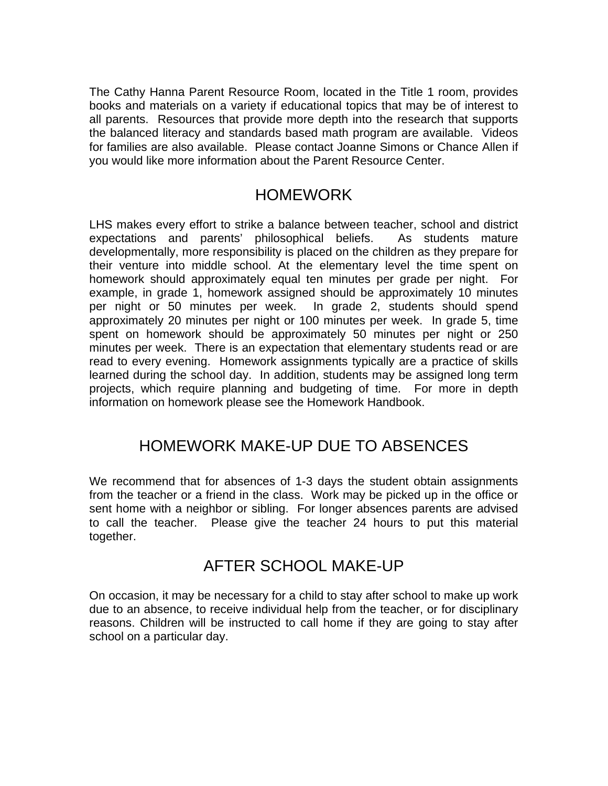The Cathy Hanna Parent Resource Room, located in the Title 1 room, provides books and materials on a variety if educational topics that may be of interest to all parents. Resources that provide more depth into the research that supports the balanced literacy and standards based math program are available. Videos for families are also available. Please contact Joanne Simons or Chance Allen if you would like more information about the Parent Resource Center.

#### HOMEWORK

LHS makes every effort to strike a balance between teacher, school and district expectations and parents' philosophical beliefs. As students mature developmentally, more responsibility is placed on the children as they prepare for their venture into middle school. At the elementary level the time spent on homework should approximately equal ten minutes per grade per night. For example, in grade 1, homework assigned should be approximately 10 minutes per night or 50 minutes per week. In grade 2, students should spend approximately 20 minutes per night or 100 minutes per week. In grade 5, time spent on homework should be approximately 50 minutes per night or 250 minutes per week. There is an expectation that elementary students read or are read to every evening. Homework assignments typically are a practice of skills learned during the school day. In addition, students may be assigned long term projects, which require planning and budgeting of time. For more in depth information on homework please see the Homework Handbook.

### HOMEWORK MAKE-UP DUE TO ABSENCES

We recommend that for absences of 1-3 days the student obtain assignments from the teacher or a friend in the class. Work may be picked up in the office or sent home with a neighbor or sibling. For longer absences parents are advised to call the teacher. Please give the teacher 24 hours to put this material together.

#### AFTER SCHOOL MAKE-UP

On occasion, it may be necessary for a child to stay after school to make up work due to an absence, to receive individual help from the teacher, or for disciplinary reasons. Children will be instructed to call home if they are going to stay after school on a particular day.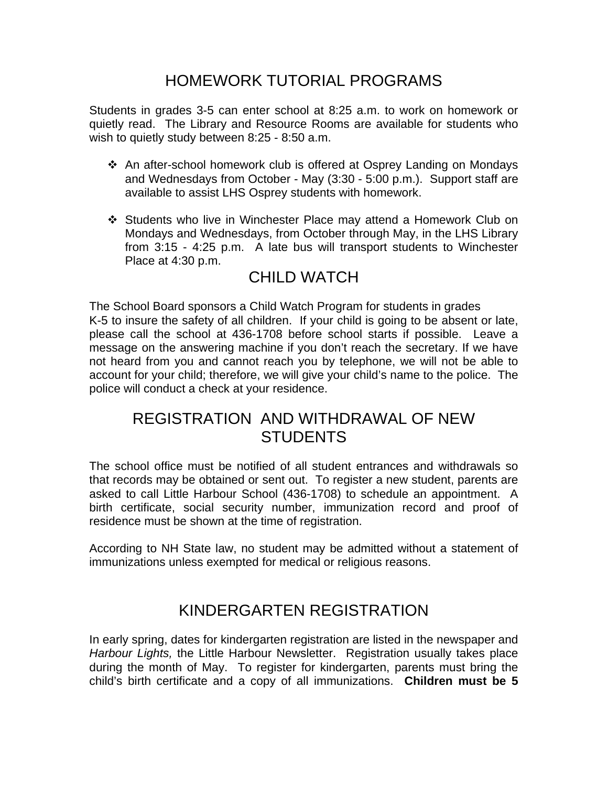# HOMEWORK TUTORIAL PROGRAMS

Students in grades 3-5 can enter school at 8:25 a.m. to work on homework or quietly read. The Library and Resource Rooms are available for students who wish to quietly study between 8:25 - 8:50 a.m.

- An after-school homework club is offered at Osprey Landing on Mondays and Wednesdays from October - May (3:30 - 5:00 p.m.). Support staff are available to assist LHS Osprey students with homework.
- Students who live in Winchester Place may attend a Homework Club on Mondays and Wednesdays, from October through May, in the LHS Library from 3:15 - 4:25 p.m. A late bus will transport students to Winchester Place at 4:30 p.m.

# CHILD WATCH

The School Board sponsors a Child Watch Program for students in grades K-5 to insure the safety of all children. If your child is going to be absent or late, please call the school at 436-1708 before school starts if possible. Leave a message on the answering machine if you don't reach the secretary. If we have not heard from you and cannot reach you by telephone, we will not be able to account for your child; therefore, we will give your child's name to the police. The police will conduct a check at your residence.

### REGISTRATION AND WITHDRAWAL OF NEW **STUDENTS**

The school office must be notified of all student entrances and withdrawals so that records may be obtained or sent out. To register a new student, parents are asked to call Little Harbour School (436-1708) to schedule an appointment. A birth certificate, social security number, immunization record and proof of residence must be shown at the time of registration.

According to NH State law, no student may be admitted without a statement of immunizations unless exempted for medical or religious reasons.

# KINDERGARTEN REGISTRATION

In early spring, dates for kindergarten registration are listed in the newspaper and *Harbour Lights,* the Little Harbour Newsletter. Registration usually takes place during the month of May. To register for kindergarten, parents must bring the child's birth certificate and a copy of all immunizations. **Children must be 5**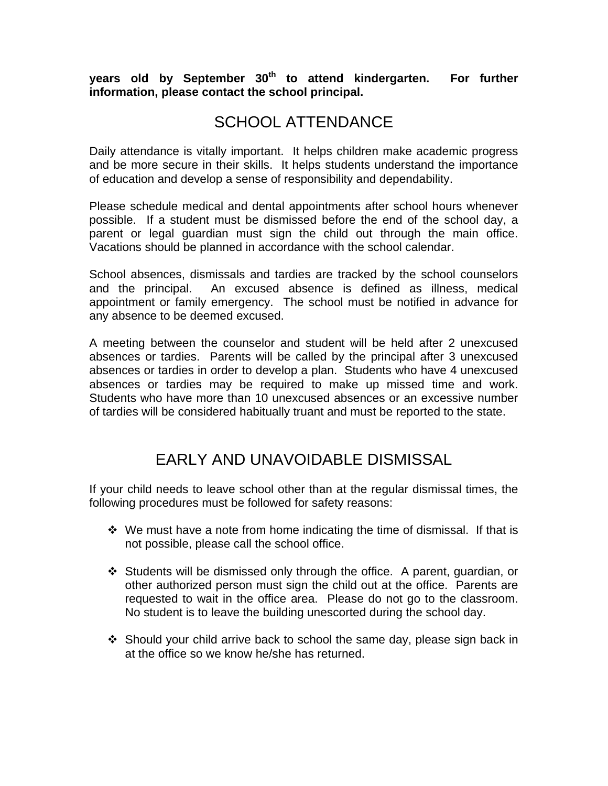**years old by September 30th to attend kindergarten. For further information, please contact the school principal.**

### SCHOOL ATTENDANCE

Daily attendance is vitally important. It helps children make academic progress and be more secure in their skills. It helps students understand the importance of education and develop a sense of responsibility and dependability.

Please schedule medical and dental appointments after school hours whenever possible. If a student must be dismissed before the end of the school day, a parent or legal guardian must sign the child out through the main office. Vacations should be planned in accordance with the school calendar.

School absences, dismissals and tardies are tracked by the school counselors and the principal. An excused absence is defined as illness, medical appointment or family emergency. The school must be notified in advance for any absence to be deemed excused.

A meeting between the counselor and student will be held after 2 unexcused absences or tardies. Parents will be called by the principal after 3 unexcused absences or tardies in order to develop a plan. Students who have 4 unexcused absences or tardies may be required to make up missed time and work. Students who have more than 10 unexcused absences or an excessive number of tardies will be considered habitually truant and must be reported to the state.

### EARLY AND UNAVOIDABLE DISMISSAL

If your child needs to leave school other than at the regular dismissal times, the following procedures must be followed for safety reasons:

- $\div$  We must have a note from home indicating the time of dismissal. If that is not possible, please call the school office.
- Students will be dismissed only through the office. A parent, guardian, or other authorized person must sign the child out at the office. Parents are requested to wait in the office area. Please do not go to the classroom. No student is to leave the building unescorted during the school day.
- $\div$  Should your child arrive back to school the same day, please sign back in at the office so we know he/she has returned.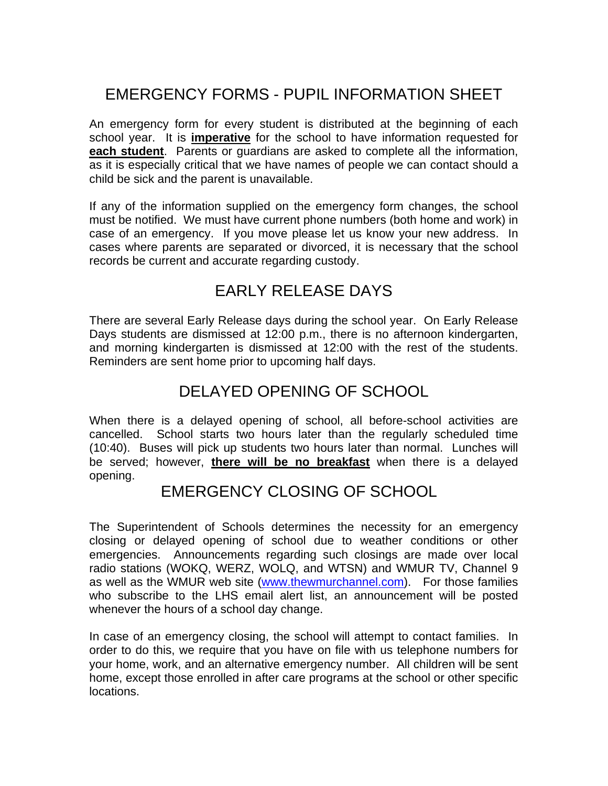# EMERGENCY FORMS - PUPIL INFORMATION SHEET

An emergency form for every student is distributed at the beginning of each school year. It is **imperative** for the school to have information requested for **each student**. Parents or guardians are asked to complete all the information, as it is especially critical that we have names of people we can contact should a child be sick and the parent is unavailable.

If any of the information supplied on the emergency form changes, the school must be notified. We must have current phone numbers (both home and work) in case of an emergency. If you move please let us know your new address. In cases where parents are separated or divorced, it is necessary that the school records be current and accurate regarding custody.

## EARLY RELEASE DAYS

There are several Early Release days during the school year. On Early Release Days students are dismissed at 12:00 p.m., there is no afternoon kindergarten, and morning kindergarten is dismissed at 12:00 with the rest of the students. Reminders are sent home prior to upcoming half days.

### DELAYED OPENING OF SCHOOL

When there is a delayed opening of school, all before-school activities are cancelled. School starts two hours later than the regularly scheduled time (10:40). Buses will pick up students two hours later than normal. Lunches will be served; however, **there will be no breakfast** when there is a delayed opening.

#### EMERGENCY CLOSING OF SCHOOL

The Superintendent of Schools determines the necessity for an emergency closing or delayed opening of school due to weather conditions or other emergencies. Announcements regarding such closings are made over local radio stations (WOKQ, WERZ, WOLQ, and WTSN) and WMUR TV, Channel 9 as well as the WMUR web site (www.thewmurchannel.com). For those families who subscribe to the LHS email alert list, an announcement will be posted whenever the hours of a school day change.

In case of an emergency closing, the school will attempt to contact families. In order to do this, we require that you have on file with us telephone numbers for your home, work, and an alternative emergency number. All children will be sent home, except those enrolled in after care programs at the school or other specific locations.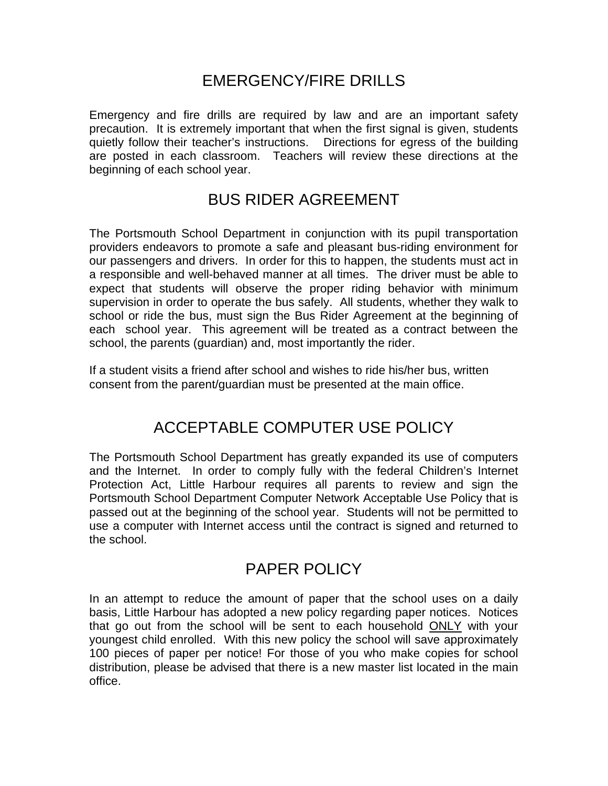## EMERGENCY/FIRE DRILLS

Emergency and fire drills are required by law and are an important safety precaution. It is extremely important that when the first signal is given, students quietly follow their teacher's instructions. Directions for egress of the building are posted in each classroom. Teachers will review these directions at the beginning of each school year.

### BUS RIDER AGREEMENT

The Portsmouth School Department in conjunction with its pupil transportation providers endeavors to promote a safe and pleasant bus-riding environment for our passengers and drivers. In order for this to happen, the students must act in a responsible and well-behaved manner at all times. The driver must be able to expect that students will observe the proper riding behavior with minimum supervision in order to operate the bus safely. All students, whether they walk to school or ride the bus, must sign the Bus Rider Agreement at the beginning of each school year. This agreement will be treated as a contract between the school, the parents (guardian) and, most importantly the rider.

If a student visits a friend after school and wishes to ride his/her bus, written consent from the parent/guardian must be presented at the main office.

### ACCEPTABLE COMPUTER USE POLICY

The Portsmouth School Department has greatly expanded its use of computers and the Internet. In order to comply fully with the federal Children's Internet Protection Act, Little Harbour requires all parents to review and sign the Portsmouth School Department Computer Network Acceptable Use Policy that is passed out at the beginning of the school year. Students will not be permitted to use a computer with Internet access until the contract is signed and returned to the school.

### PAPER POLICY

In an attempt to reduce the amount of paper that the school uses on a daily basis, Little Harbour has adopted a new policy regarding paper notices. Notices that go out from the school will be sent to each household ONLY with your youngest child enrolled. With this new policy the school will save approximately 100 pieces of paper per notice! For those of you who make copies for school distribution, please be advised that there is a new master list located in the main office.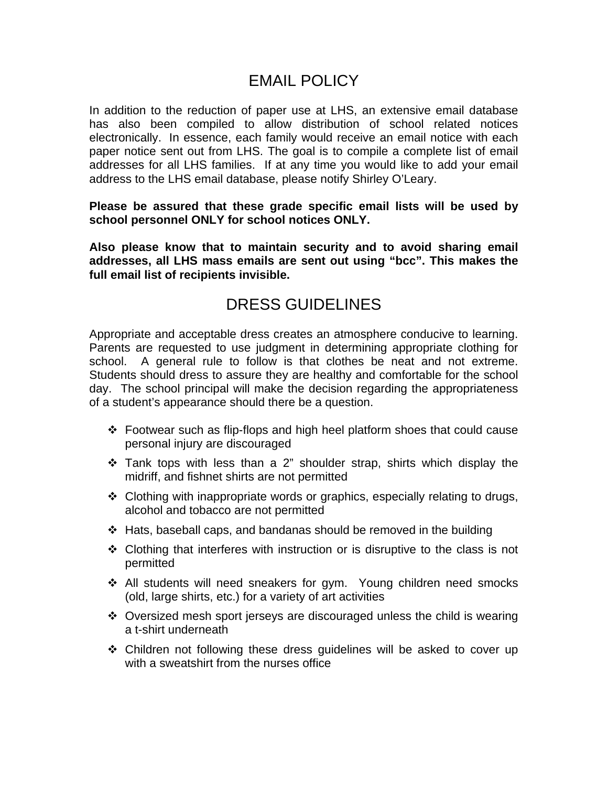### EMAIL POLICY

In addition to the reduction of paper use at LHS, an extensive email database has also been compiled to allow distribution of school related notices electronically. In essence, each family would receive an email notice with each paper notice sent out from LHS. The goal is to compile a complete list of email addresses for all LHS families. If at any time you would like to add your email address to the LHS email database, please notify Shirley O'Leary.

#### **Please be assured that these grade specific email lists will be used by school personnel ONLY for school notices ONLY.**

**Also please know that to maintain security and to avoid sharing email addresses, all LHS mass emails are sent out using "bcc". This makes the full email list of recipients invisible.** 

### DRESS GUIDELINES

Appropriate and acceptable dress creates an atmosphere conducive to learning. Parents are requested to use judgment in determining appropriate clothing for school. A general rule to follow is that clothes be neat and not extreme. Students should dress to assure they are healthy and comfortable for the school day. The school principal will make the decision regarding the appropriateness of a student's appearance should there be a question.

- Footwear such as flip-flops and high heel platform shoes that could cause personal injury are discouraged
- $\cdot$  Tank tops with less than a 2" shoulder strap, shirts which display the midriff, and fishnet shirts are not permitted
- Clothing with inappropriate words or graphics, especially relating to drugs, alcohol and tobacco are not permitted
- $\div$  Hats, baseball caps, and bandanas should be removed in the building
- $\div$  Clothing that interferes with instruction or is disruptive to the class is not permitted
- All students will need sneakers for gym. Young children need smocks (old, large shirts, etc.) for a variety of art activities
- Oversized mesh sport jerseys are discouraged unless the child is wearing a t-shirt underneath
- Children not following these dress guidelines will be asked to cover up with a sweatshirt from the nurses office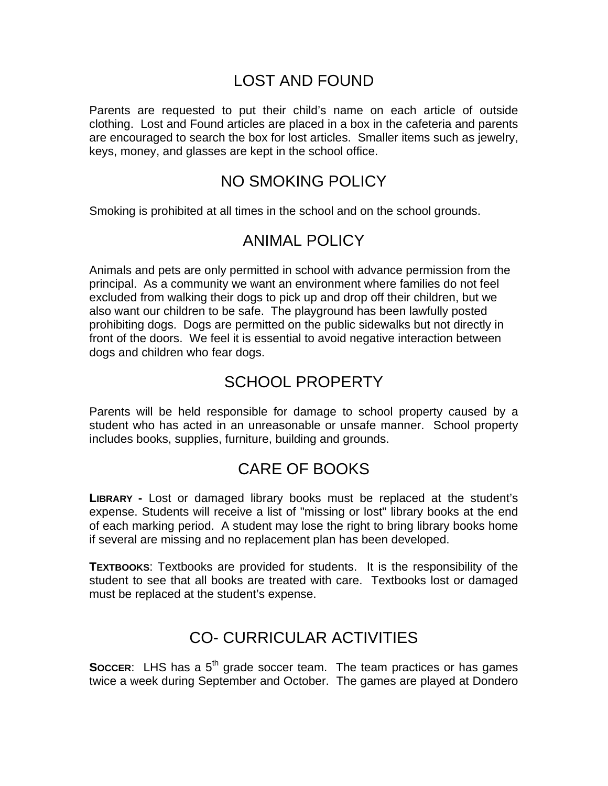### LOST AND FOUND

Parents are requested to put their child's name on each article of outside clothing. Lost and Found articles are placed in a box in the cafeteria and parents are encouraged to search the box for lost articles. Smaller items such as jewelry, keys, money, and glasses are kept in the school office.

### NO SMOKING POLICY

Smoking is prohibited at all times in the school and on the school grounds.

## ANIMAL POLICY

Animals and pets are only permitted in school with advance permission from the principal. As a community we want an environment where families do not feel excluded from walking their dogs to pick up and drop off their children, but we also want our children to be safe. The playground has been lawfully posted prohibiting dogs. Dogs are permitted on the public sidewalks but not directly in front of the doors. We feel it is essential to avoid negative interaction between dogs and children who fear dogs.

# SCHOOL PROPERTY

Parents will be held responsible for damage to school property caused by a student who has acted in an unreasonable or unsafe manner. School property includes books, supplies, furniture, building and grounds.

# CARE OF BOOKS

**LIBRARY -** Lost or damaged library books must be replaced at the student's expense. Students will receive a list of "missing or lost" library books at the end of each marking period. A student may lose the right to bring library books home if several are missing and no replacement plan has been developed.

**TEXTBOOKS**: Textbooks are provided for students. It is the responsibility of the student to see that all books are treated with care. Textbooks lost or damaged must be replaced at the student's expense.

# CO- CURRICULAR ACTIVITIES

**SOCCER:** LHS has a 5<sup>th</sup> grade soccer team. The team practices or has games twice a week during September and October. The games are played at Dondero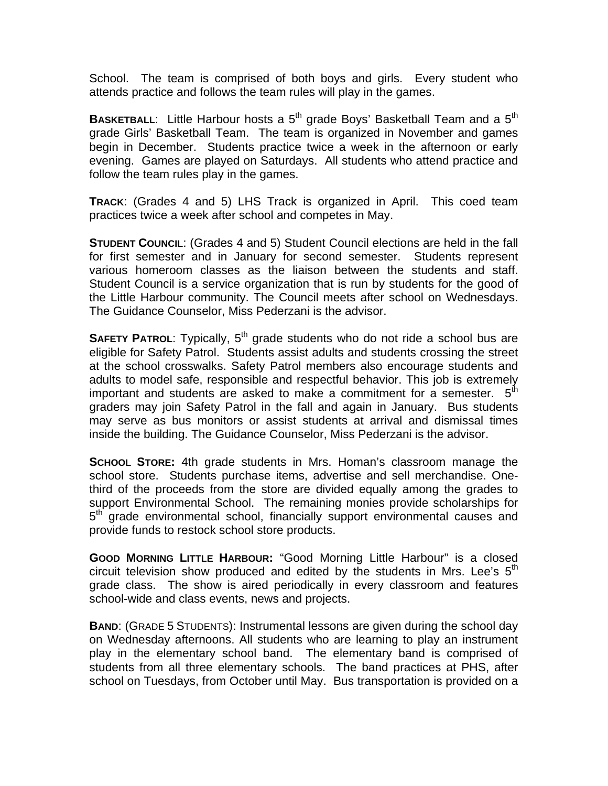School. The team is comprised of both boys and girls. Every student who attends practice and follows the team rules will play in the games.

**BASKETBALL:** Little Harbour hosts a 5<sup>th</sup> grade Boys' Basketball Team and a 5<sup>th</sup> grade Girls' Basketball Team. The team is organized in November and games begin in December. Students practice twice a week in the afternoon or early evening. Games are played on Saturdays. All students who attend practice and follow the team rules play in the games.

**TRACK**: (Grades 4 and 5) LHS Track is organized in April. This coed team practices twice a week after school and competes in May.

**STUDENT COUNCIL:** (Grades 4 and 5) Student Council elections are held in the fall for first semester and in January for second semester. Students represent various homeroom classes as the liaison between the students and staff. Student Council is a service organization that is run by students for the good of the Little Harbour community. The Council meets after school on Wednesdays. The Guidance Counselor, Miss Pederzani is the advisor.

**SAFETY PATROL:** Typically, 5<sup>th</sup> grade students who do not ride a school bus are eligible for Safety Patrol. Students assist adults and students crossing the street at the school crosswalks. Safety Patrol members also encourage students and adults to model safe, responsible and respectful behavior. This job is extremely important and students are asked to make a commitment for a semester.  $5<sup>th</sup>$ graders may join Safety Patrol in the fall and again in January. Bus students may serve as bus monitors or assist students at arrival and dismissal times inside the building. The Guidance Counselor, Miss Pederzani is the advisor.

**SCHOOL STORE:** 4th grade students in Mrs. Homan's classroom manage the school store. Students purchase items, advertise and sell merchandise. Onethird of the proceeds from the store are divided equally among the grades to support Environmental School. The remaining monies provide scholarships for 5<sup>th</sup> grade environmental school, financially support environmental causes and provide funds to restock school store products.

**GOOD MORNING LITTLE HARBOUR:** "Good Morning Little Harbour" is a closed circuit television show produced and edited by the students in Mrs. Lee's  $5<sup>th</sup>$ grade class. The show is aired periodically in every classroom and features school-wide and class events, news and projects.

**BAND**: (GRADE 5 STUDENTS): Instrumental lessons are given during the school day on Wednesday afternoons. All students who are learning to play an instrument play in the elementary school band. The elementary band is comprised of students from all three elementary schools. The band practices at PHS, after school on Tuesdays, from October until May. Bus transportation is provided on a